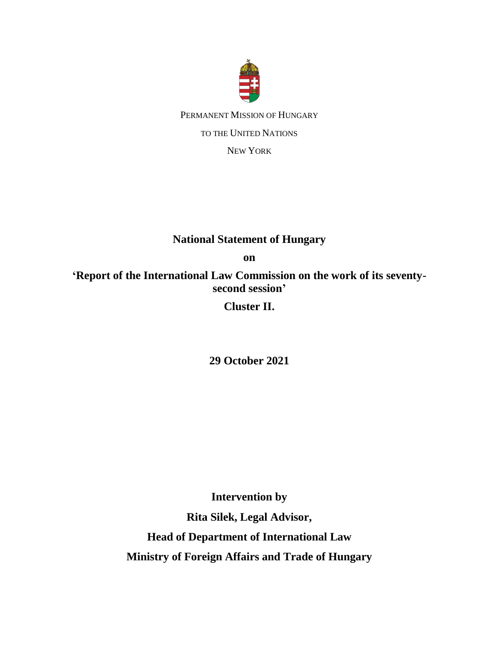

PERMANENT MISSION OF HUNGARY TO THE UNITED NATIONS NEW YORK

## **National Statement of Hungary**

**on** 

**'Report of the International Law Commission on the work of its seventysecond session'**

**Cluster II.**

**29 October 2021**

**Intervention by**

**Rita Silek, Legal Advisor,** 

**Head of Department of International Law Ministry of Foreign Affairs and Trade of Hungary**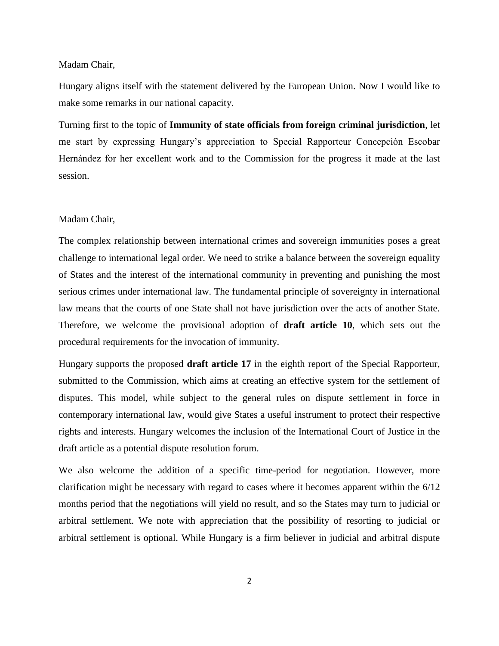## Madam Chair,

Hungary aligns itself with the statement delivered by the European Union. Now I would like to make some remarks in our national capacity.

Turning first to the topic of **Immunity of state officials from foreign criminal jurisdiction**, let me start by expressing Hungary's appreciation to Special Rapporteur Concepción Escobar Hernández for her excellent work and to the Commission for the progress it made at the last session.

## Madam Chair,

The complex relationship between international crimes and sovereign immunities poses a great challenge to international legal order. We need to strike a balance between the sovereign equality of States and the interest of the international community in preventing and punishing the most serious crimes under international law. The fundamental principle of sovereignty in international law means that the courts of one State shall not have jurisdiction over the acts of another State. Therefore, we welcome the provisional adoption of **draft article 10**, which sets out the procedural requirements for the invocation of immunity.

Hungary supports the proposed **draft article 17** in the eighth report of the Special Rapporteur, submitted to the Commission, which aims at creating an effective system for the settlement of disputes. This model, while subject to the general rules on dispute settlement in force in contemporary international law, would give States a useful instrument to protect their respective rights and interests. Hungary welcomes the inclusion of the International Court of Justice in the draft article as a potential dispute resolution forum.

We also welcome the addition of a specific time-period for negotiation. However, more clarification might be necessary with regard to cases where it becomes apparent within the 6/12 months period that the negotiations will yield no result, and so the States may turn to judicial or arbitral settlement. We note with appreciation that the possibility of resorting to judicial or arbitral settlement is optional. While Hungary is a firm believer in judicial and arbitral dispute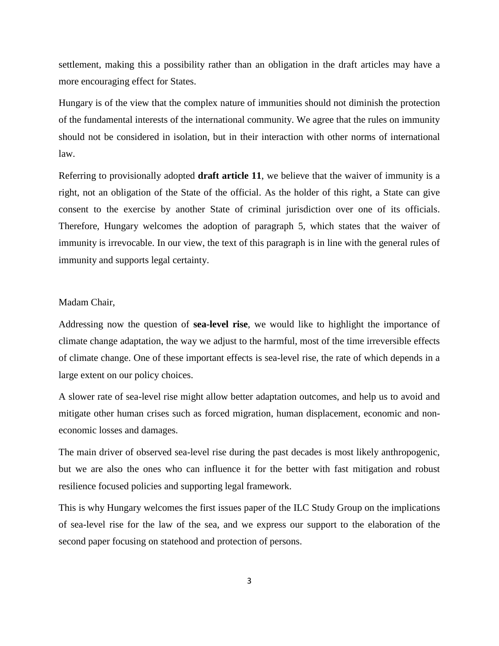settlement, making this a possibility rather than an obligation in the draft articles may have a more encouraging effect for States.

Hungary is of the view that the complex nature of immunities should not diminish the protection of the fundamental interests of the international community. We agree that the rules on immunity should not be considered in isolation, but in their interaction with other norms of international law.

Referring to provisionally adopted **draft article 11**, we believe that the waiver of immunity is a right, not an obligation of the State of the official. As the holder of this right, a State can give consent to the exercise by another State of criminal jurisdiction over one of its officials. Therefore, Hungary welcomes the adoption of paragraph 5, which states that the waiver of immunity is irrevocable. In our view, the text of this paragraph is in line with the general rules of immunity and supports legal certainty.

## Madam Chair,

Addressing now the question of **sea-level rise**, we would like to highlight the importance of climate change adaptation, the way we adjust to the harmful, most of the time irreversible effects of climate change. One of these important effects is sea-level rise, the rate of which depends in a large extent on our policy choices.

A slower rate of sea-level rise might allow better adaptation outcomes, and help us to avoid and mitigate other human crises such as forced migration, human displacement, economic and noneconomic losses and damages.

The main driver of observed sea-level rise during the past decades is most likely anthropogenic, but we are also the ones who can influence it for the better with fast mitigation and robust resilience focused policies and supporting legal framework.

This is why Hungary welcomes the first issues paper of the ILC Study Group on the implications of sea-level rise for the law of the sea, and we express our support to the elaboration of the second paper focusing on statehood and protection of persons.